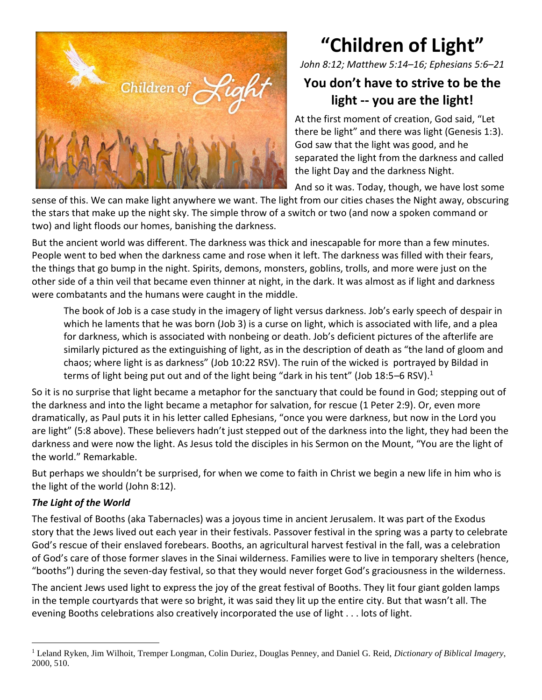

## **"Children of Light"**

*John 8:12; Matthew 5:14–16; Ephesians 5:6–21*

## **You don't have to strive to be the light -- you are the light!**

At the first moment of creation, God said, "Let there be light" and there was light (Genesis 1:3). God saw that the light was good, and he separated the light from the darkness and called the light Day and the darkness Night.

And so it was. Today, though, we have lost some

sense of this. We can make light anywhere we want. The light from our cities chases the Night away, obscuring the stars that make up the night sky. The simple throw of a switch or two (and now a spoken command or two) and light floods our homes, banishing the darkness.

But the ancient world was different. The darkness was thick and inescapable for more than a few minutes. People went to bed when the darkness came and rose when it left. The darkness was filled with their fears, the things that go bump in the night. Spirits, demons, monsters, goblins, trolls, and more were just on the other side of a thin veil that became even thinner at night, in the dark. It was almost as if light and darkness were combatants and the humans were caught in the middle.

The book of Job is a case study in the imagery of light versus darkness. Job's early speech of despair in which he laments that he was born (Job 3) is a curse on light, which is associated with life, and a plea for darkness, which is associated with nonbeing or death. Job's deficient pictures of the afterlife are similarly pictured as the extinguishing of light, as in the description of death as "the land of gloom and chaos; where light is as darkness" (Job 10:22 RSV). The ruin of the wicked is portrayed by Bildad in terms of light being put out and of the light being "dark in his tent" (Job 18:5–6 RSV).<sup>1</sup>

So it is no surprise that light became a metaphor for the sanctuary that could be found in God; stepping out of the darkness and into the light became a metaphor for salvation, for rescue (1 Peter 2:9). Or, even more dramatically, as Paul puts it in his letter called Ephesians, "once you were darkness, but now in the Lord you are light" (5:8 above). These believers hadn't just stepped out of the darkness into the light, they had been the darkness and were now the light. As Jesus told the disciples in his Sermon on the Mount, "You are the light of the world." Remarkable.

But perhaps we shouldn't be surprised, for when we come to faith in Christ we begin a new life in him who is the light of the world (John 8:12).

## *The Light of the World*

The festival of Booths (aka Tabernacles) was a joyous time in ancient Jerusalem. It was part of the Exodus story that the Jews lived out each year in their festivals. Passover festival in the spring was a party to celebrate God's rescue of their enslaved forebears. Booths, an agricultural harvest festival in the fall, was a celebration of God's care of those former slaves in the Sinai wilderness. Families were to live in temporary shelters (hence, "booths") during the seven-day festival, so that they would never forget God's graciousness in the wilderness.

The ancient Jews used light to express the joy of the great festival of Booths. They lit four giant golden lamps in the temple courtyards that were so bright, it was said they lit up the entire city. But that wasn't all. The evening Booths celebrations also creatively incorporated the use of light . . . lots of light.

<sup>1</sup> Leland Ryken, Jim Wilhoit, Tremper Longman, Colin Duriez, Douglas Penney, and Daniel G. Reid, *Dictionary of Biblical Imagery*, 2000, 510.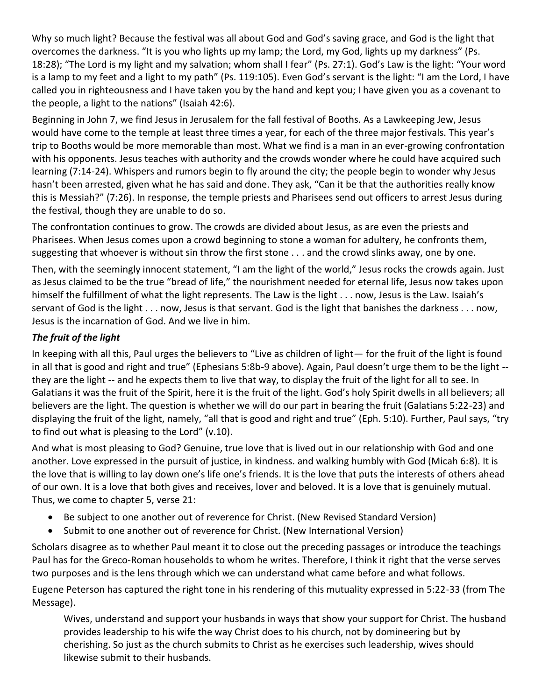Why so much light? Because the festival was all about God and God's saving grace, and God is the light that overcomes the darkness. "It is you who lights up my lamp; the Lord, my God, lights up my darkness" (Ps. 18:28); "The Lord is my light and my salvation; whom shall I fear" (Ps. 27:1). God's Law is the light: "Your word is a lamp to my feet and a light to my path" (Ps. 119:105). Even God's servant is the light: "I am the Lord, I have called you in righteousness and I have taken you by the hand and kept you; I have given you as a covenant to the people, a light to the nations" (Isaiah 42:6).

Beginning in John 7, we find Jesus in Jerusalem for the fall festival of Booths. As a Lawkeeping Jew, Jesus would have come to the temple at least three times a year, for each of the three major festivals. This year's trip to Booths would be more memorable than most. What we find is a man in an ever-growing confrontation with his opponents. Jesus teaches with authority and the crowds wonder where he could have acquired such learning (7:14-24). Whispers and rumors begin to fly around the city; the people begin to wonder why Jesus hasn't been arrested, given what he has said and done. They ask, "Can it be that the authorities really know this is Messiah?" (7:26). In response, the temple priests and Pharisees send out officers to arrest Jesus during the festival, though they are unable to do so.

The confrontation continues to grow. The crowds are divided about Jesus, as are even the priests and Pharisees. When Jesus comes upon a crowd beginning to stone a woman for adultery, he confronts them, suggesting that whoever is without sin throw the first stone . . . and the crowd slinks away, one by one.

Then, with the seemingly innocent statement, "I am the light of the world," Jesus rocks the crowds again. Just as Jesus claimed to be the true "bread of life," the nourishment needed for eternal life, Jesus now takes upon himself the fulfillment of what the light represents. The Law is the light . . . now, Jesus is the Law. Isaiah's servant of God is the light . . . now, Jesus is that servant. God is the light that banishes the darkness . . . now, Jesus is the incarnation of God. And we live in him.

## *The fruit of the light*

In keeping with all this, Paul urges the believers to "Live as children of light— for the fruit of the light is found in all that is good and right and true" (Ephesians 5:8b-9 above). Again, Paul doesn't urge them to be the light - they are the light -- and he expects them to live that way, to display the fruit of the light for all to see. In Galatians it was the fruit of the Spirit, here it is the fruit of the light. God's holy Spirit dwells in all believers; all believers are the light. The question is whether we will do our part in bearing the fruit (Galatians 5:22-23) and displaying the fruit of the light, namely, "all that is good and right and true" (Eph. 5:10). Further, Paul says, "try to find out what is pleasing to the Lord" (v.10).

And what is most pleasing to God? Genuine, true love that is lived out in our relationship with God and one another. Love expressed in the pursuit of justice, in kindness. and walking humbly with God (Micah 6:8). It is the love that is willing to lay down one's life one's friends. It is the love that puts the interests of others ahead of our own. It is a love that both gives and receives, lover and beloved. It is a love that is genuinely mutual. Thus, we come to chapter 5, verse 21:

- Be subject to one another out of reverence for Christ. (New Revised Standard Version)
- Submit to one another out of reverence for Christ. (New International Version)

Scholars disagree as to whether Paul meant it to close out the preceding passages or introduce the teachings Paul has for the Greco-Roman households to whom he writes. Therefore, I think it right that the verse serves two purposes and is the lens through which we can understand what came before and what follows.

Eugene Peterson has captured the right tone in his rendering of this mutuality expressed in 5:22-33 (from The Message).

Wives, understand and support your husbands in ways that show your support for Christ. The husband provides leadership to his wife the way Christ does to his church, not by domineering but by cherishing. So just as the church submits to Christ as he exercises such leadership, wives should likewise submit to their husbands.